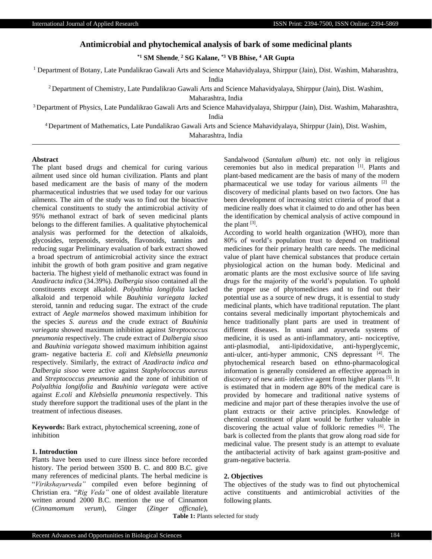# **Antimicrobial and phytochemical analysis of bark of some medicinal plants**

**\*1 SM Shende, <sup>2</sup> SG Kalane, \*3 VB Bhise, <sup>4</sup> AR Gupta**

<sup>1</sup> Department of Botany, Late Pundalikrao Gawali Arts and Science Mahavidyalaya, Shirppur (Jain), Dist. Washim, Maharashtra,

India

<sup>2</sup> Department of Chemistry, Late Pundalikrao Gawali Arts and Science Mahavidyalaya, Shirppur (Jain), Dist. Washim,

Maharashtra, India

<sup>3</sup> Department of Physics, Late Pundalikrao Gawali Arts and Science Mahavidyalaya, Shirppur (Jain), Dist. Washim, Maharashtra,

India

<sup>4</sup>Department of Mathematics, Late Pundalikrao Gawali Arts and Science Mahavidyalaya, Shirppur (Jain), Dist. Washim, Maharashtra, India

#### **Abstract**

The plant based drugs and chemical for curing various ailment used since old human civilization. Plants and plant based medicament are the basis of many of the modern pharmaceutical industries that we used today for our various ailments. The aim of the study was to find out the bioactive chemical constituents to study the antimicrobial activity of 95% methanol extract of bark of seven medicinal plants belongs to the different families. A qualitative phytochemical analysis was performed for the detection of alkaloids, glycosides, terpenoids, steroids, flavonoids, tannins and reducing sugar Preliminary evaluation of bark extract showed a broad spectrum of antimicrobial activity since the extract inhibit the growth of both gram positive and gram negative bacteria. The highest yield of methanolic extract was found in *Azadiracta indica* (34.39%). *Dalbergia sisoo* contained all the constituents except alkaloid. *Polyalthia longifolia* lacked alkaloid and terpenoid while *Bauhinia variegata lacked*  steroid, tannin and reducing sugar. The extract of the crude extract of *Aegle marmelos* showed maximum inhibition for the species *S. aureus and* the crude extract of *Bauhinia variegata* showed maximum inhibition against *Streptococcus pneumonia* respectively. The crude extract of *Dalbergia sisoo* and *Bauhinia variegata* showed maximum inhibition against gram- negative bacteria *E. coli* and *Klebsiella pneumonia* respectively. Similarly, the extract of *Azadiracta indica and Dalbergia sisoo* were active against *Staphylococcus aureus* and *Streptococcus pneumonia* and the zone of inhibition of *Polyalthia longifolia* and *Bauhinia variegata* were active against *E.coli* and *Klebsiella pneumonia* respectively. This study therefore support the traditional uses of the plant in the treatment of infectious diseases.

**Keywords:** Bark extract, phytochemical screening, zone of inhibition

# **1. Introduction**

Plants have been used to cure illness since before recorded history. The period between 3500 B. C. and 800 B.C. give many references of medicinal plants. The herbal medicine is "*Virikshayurveda"* compiled even before beginning of Christian era. "*Rig Veda"* one of oldest available literature written around 2000 B.C. mention the use of Cinnamon (*Cinnamomum verum*), Ginger (*Zinger officnale*), Sandalwood (*Santalum album*) etc. not only in religious ceremonies but also in medical preparation [1]. Plants and plant-based medicament are the basis of many of the modern pharmaceutical we use today for various ailments  $[2]$  the discovery of medicinal plants based on two factors. One has been development of increasing strict criteria of proof that a medicine really does what it claimed to do and other has been the identification by chemical analysis of active compound in the plant  $^{[3]}$ .

According to world health organization (WHO), more than 80% of world's population trust to depend on traditional medicines for their primary health care needs. The medicinal value of plant have chemical substances that produce certain physiological action on the human body. Medicinal and aromatic plants are the most exclusive source of life saving drugs for the majority of the world's population. To uphold the proper use of phytomedicines and to find out their potential use as a source of new drugs, it is essential to study medicinal plants, which have traditional reputation. The plant contains several medicinally important phytochemicals and hence traditionally plant parts are used in treatment of different diseases. In unani and ayurveda systems of medicine, it is used as anti-inflammatory, anti- nociceptive, anti‐plasmodial, anti-lipidoxidative, anti‐hyperglycemic, anti-ulcer, anti-hyper ammonic, CNS depressant [4]. The phytochemical research based on ethno-pharmacological information is generally considered an effective approach in discovery of new anti- infective agent from higher plants [5]. It is estimated that in modern age 80% of the medical care is provided by homecare and traditional native systems of medicine and major part of these therapies involve the use of plant extracts or their active principles. Knowledge of chemical constituent of plant would be further valuable in discovering the actual value of folkloric remedies [6]. The bark is collected from the plants that grow along road side for medicinal value. The present study is an attempt to evaluate the antibacterial activity of bark against gram-positive and gram-negative bacteria.

### **2. Objectives**

The objectives of the study was to find out phytochemical active constituents and antimicrobial activities of the following plants.

**Table 1:** Plants selected for study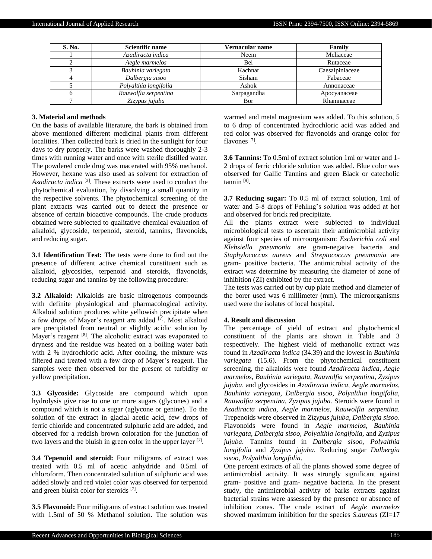| S. No. | Scientific name       | Vernacular name | Family          |
|--------|-----------------------|-----------------|-----------------|
|        | Azadiracta indica     | Neem            | Meliaceae       |
|        | Aegle marmelos        | Bel             | Rutaceae        |
|        | Bauhinia variegata    | Kachnar         | Caesalpiniaceae |
|        | Dalbergia sisoo       | Sisham          | Fabaceae        |
|        | Polyalthia longifolia | Ashok           | Annonaceae      |
|        | Rauwolfia serpentina  | Sarpagandha     | Apocyanaceae    |
|        | Zizypus jujuba        | Bor             | Rhamnaceae      |

#### **3. Material and methods**

On the basis of available literature, the bark is obtained from above mentioned different medicinal plants from different localities. Then collected bark is dried in the sunlight for four days to dry properly. The barks were washed thoroughly 2-3 times with running water and once with sterile distilled water. The powdered crude drug was macerated with 95% methanol. However, hexane was also used as solvent for extraction of *Azadiracta indica* [3]. These extracts were used to conduct the phytochemical evaluation, by dissolving a small quantity in the respective solvents. The phytochemical screening of the plant extracts was carried out to detect the presence or absence of certain bioactive compounds. The crude products obtained were subjected to qualitative chemical evaluation of alkaloid, glycoside, terpenoid, steroid, tannins, flavonoids, and reducing sugar.

**3.1 Identification Test:** The tests were done to find out the presence of different active chemical constituent such as alkaloid, glycosides, terpenoid and steroids, flavonoids, reducing sugar and tannins by the following procedure:

**3.2 Alkaloid:** Alkaloids are basic nitrogenous compounds with definite physiological and pharmacological activity. Alkaloid solution produces white yellowish precipitate when a few drops of Mayer's reagent are added  $[7]$ . Most alkaloid are precipitated from neutral or slightly acidic solution by Mayer's reagent [8]. The alcoholic extract was evaporated to dryness and the residue was heated on a boiling water bath with 2 % hydrochloric acid. After cooling, the mixture was filtered and treated with a few drop of Mayer's reagent. The samples were then observed for the present of turbidity or yellow precipitation.

**3.3 Glycoside:** Glycoside are compound which upon hydrolysis give rise to one or more sugars (glycones) and a compound which is not a sugar (aglycone or genine). To the solution of the extract in glacial acetic acid, few drops of ferric chloride and concentrated sulphuric acid are added, and observed for a reddish brown coloration for the junction of two layers and the bluish in green color in the upper layer [7].

**3.4 Tepenoid and steroid:** Four miligrams of extract was treated with 0.5 ml of acetic anhydride and 0.5ml of chloroform. Then concentrated solution of sulphuric acid was added slowly and red violet color was observed for terpenoid and green bluish color for steroids [7].

**3.5 Flavonoid:** Four miligrams of extract solution was treated with 1.5ml of 50 % Methanol solution. The solution was

warmed and metal magnesium was added. To this solution, 5 to 6 drop of concentrated hydrochloric acid was added and red color was observed for flavonoids and orange color for flavones<sup>[7]</sup>.

**3.6 Tannins:** To 0.5ml of extract solution 1ml or water and 1- 2 drops of ferric chloride solution was added. Blue color was observed for Gallic Tannins and green Black or catecholic tannin [9].

**3.7 Reducing sugar:** To 0.5 ml of extract solution, 1ml of water and 5-8 drops of Fehling's solution was added at hot and observed for brick red precipitate.

All the plants extract were subjected to individual microbiological tests to ascertain their antimicrobial activity against four species of microorganism: *Escherichia coli* and *Klebsiella pneumonia* are gram-negative bacteria and *Staphylococcus aureus* and *Streptococcus pneumonia* are gram- positive bacteria. The antimicrobial activity of the extract was determine by measuring the diameter of zone of inhibition (ZI) exhibited by the extract.

The tests was carried out by cup plate method and diameter of the borer used was 6 millimeter (mm). The microorganisms used were the isolates of local hospital.

#### **4. Result and discussion**

The percentage of yield of extract and phytochemical constituent of the plants are shown in Table and 3 respectively. The highest yield of methanolic extract was found in *Azadiracta indica* (34.39) and the lowest in *Bauhinia variegata* (15.6). From the phytochemical constituent screening, the alkaloids were found *Azadiracta indica, Aegle marmelos, Bauhinia variegata, Rauwolfia serpentina, Zyzipus jujuba,* and glycosides in *Azadiracta indica, Aegle marmelos, Bauhinia variegata, Dalbergia sisoo, Polyalthia longifolia, Rauwolfia serpentina, Zyzipus jujuba.* Steroids were found in *Azadiracta indica, Aegle marmelos, Rauwolfia serpentina.*  Trepenoids were observed in *Zizypus jujuba, Dalbergia sisoo*. Flavonoids were found in *Aegle marmelos, Bauhinia variegata, Dalbergia sisoo, Polyalthia longifolia,* and *Zyzipus jujuba*. Tannins found in *Dalbergia sisoo, Polyalthia longifolia* and *Zyzipus jujuba*. Reducing sugar *Dalbergia sisoo, Polyalthia longifolia*.

One percent extracts of all the plants showed some degree of antimicrobial activity. It was strongly significant against gram- positive and gram- negative bacteria. In the present study, the antimicrobial activity of barks extracts against bacterial strains were assessed by the presence or absence of inhibition zones. The crude extract of *Aegle marmelos* showed maximum inhibition for the species *S.aureus* (ZI=17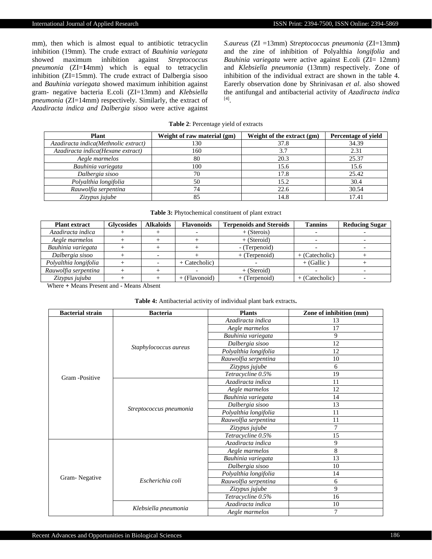mm), then which is almost equal to antibiotic tetracyclin inhibition (19mm). The crude extract of *Bauhinia variegata*  showed maximum inhibition against *Streptococcus pneumonia* (ZI=**1**4mm) which is equal to tetracyclin inhibition (ZI=15mm). The crude extract of Dalbergia sisoo and *Bauhinia variegata* showed maximum inhibition against gram- negative bacteria E.coli (ZI=13mm) and *Klebsiella pneumonia* (ZI=14mm) respectively. Similarly, the extract of *Azadiracta indica and Dalbergia sisoo* were active against *S.aureus* (ZI =13mm) *Streptococcus pneumonia* (ZI=13mm**)**  and the zine of inhibition of Polyalthia *longifolia* and *Bauhinia variegata* were active against E.coli (ZI= 12mm) and *Klebsiella pneumonia* (13mm) respectively. Zone of inhibition of the individual extract are shown in the table 4. Earerly observation done by Shrinivasan *et al*. also showed the antifungal and antibacterial activity of *Azadiracta indica* [4] .

#### **Table 2**: Percentage yield of extracts

| <b>Plant</b>                         | Weight of raw material (gm) | Weight of the extract (gm) | <b>Percentage of vield</b> |
|--------------------------------------|-----------------------------|----------------------------|----------------------------|
| Azadiracta indica(Methnolic extract) | 130                         | 37.8                       | 34.39                      |
| Azadiracta indica(Hexane extract)    | 160                         | 3.7                        | 2.31                       |
| Aegle marmelos                       | 80                          | 20.3                       | 25.37                      |
| Bauhinia variegata                   | 100                         | 15.6                       | 15.6                       |
| Dalbergia sisoo                      | 70                          | 17.8                       | 25.42                      |
| Polyalthia longifolia                | 50                          | 15.2                       | 30.4                       |
| Rauwolfia serpentina                 | 74                          | 22.6                       | 30.54                      |
| Zizypus jujube                       | 85                          | 14.8                       | 17.41                      |

| <b>Table 3:</b> Phytochemical constituent of plant extract |  |  |
|------------------------------------------------------------|--|--|
|------------------------------------------------------------|--|--|

| <b>Plant extract</b>  | <b>Glycosides</b> | <b>Alkaloids</b> | <b>Flavonoids</b> | <b>Terpenoids and Steroids</b> | <b>Tannins</b>   | <b>Reducing Sugar</b> |
|-----------------------|-------------------|------------------|-------------------|--------------------------------|------------------|-----------------------|
| Azadiracta indica     |                   |                  |                   | $+$ (Sterois)                  |                  |                       |
| Aegle marmelos        |                   |                  |                   | $+$ (Steroid)                  |                  |                       |
| Bauhinia variegata    |                   |                  |                   | - (Terpenoid)                  |                  |                       |
| Dalbergia sisoo       |                   |                  |                   | $+$ (Terpenoid)                | $+$ (Catecholic) |                       |
| Polyalthia longifolia |                   |                  | $+$ Catecholic)   |                                | $+$ (Gallic)     |                       |
| Rauwolfia serpentina  |                   |                  |                   | $+$ (Steroid)                  |                  |                       |
| Zizypus jujuba        |                   |                  | $+$ (Flavonoid)   | $+$ (Terpenoid)                | $+$ (Catecholic) |                       |

Where **+** Means Present and **-** Means Absent

| <b>Table 4:</b> Antibacterial activity of individual plant bark extracts. |  |  |
|---------------------------------------------------------------------------|--|--|
|---------------------------------------------------------------------------|--|--|

| <b>Bacterial strain</b> | <b>Bacteria</b>         | <b>Plants</b>         | Zone of inhibition (mm) |
|-------------------------|-------------------------|-----------------------|-------------------------|
|                         |                         | Azadiracta indica     | 13                      |
|                         |                         | Aegle marmelos        | 17                      |
|                         | Staphylococcus aureus   | Bauhinia variegata    | 9                       |
|                         |                         | Dalbergia sisoo       | 12                      |
|                         |                         | Polyalthia longifolia | 12                      |
|                         |                         | Rauwolfia serpentina  | 10                      |
|                         |                         | Zizypus jujube        | 6                       |
| Gram -Positive          |                         | Tetracycline 0.5%     | 19                      |
|                         |                         | Azadiracta indica     | 11                      |
|                         |                         | Aegle marmelos        | 12                      |
|                         | Streptococcus pneumonia | Bauhinia variegata    | 14                      |
|                         |                         | Dalbergia sisoo       | 13                      |
|                         |                         | Polyalthia longifolia | 11                      |
|                         |                         | Rauwolfia serpentina  | 11                      |
|                         |                         | Zizypus jujube        | 7                       |
|                         |                         | Tetracycline 0.5%     | 15                      |
|                         |                         | Azadiracta indica     | 9                       |
|                         |                         | Aegle marmelos        | 8                       |
|                         |                         | Bauhinia variegata    | 13                      |
|                         |                         | Dalbergia sisoo       | 10                      |
|                         | Escherichia coli        | Polyalthia longifolia | 14                      |
| Gram-Negative           |                         | Rauwolfia serpentina  | 6                       |
|                         |                         | Zizypus jujube        | 9                       |
|                         |                         | Tetracycline 0.5%     | 16                      |
|                         | Klebsiella pneumonia    | Azadiracta indica     | 10                      |
|                         |                         | Aegle marmelos        | 7                       |